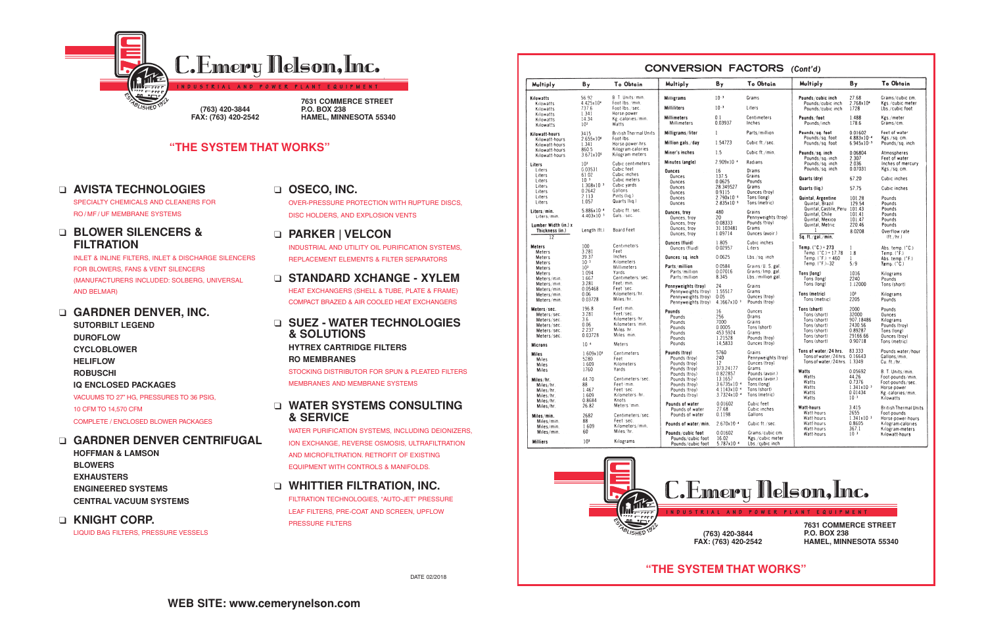**7631 COMMERCE STREET P.O. BOX 238 HAMEL, MINNESOTA 55340**

**"THE SYSTEM THAT WORKS"**

**(763) 420-3844 FAX: (763) 420-2542**



**HAMEL, MINNESOTA 55340**

## **"THE SYSTEM THAT WORKS"**

## ❑ **AVISTA TECHNOLOGIES**

SPECIALTY CHEMICALS AND CLEANERS FOR RO / MF / UF MEMBRANE SYSTEMS

## ❑ **BLOWER SILENCERS & FILTRATION**

INLET & INLINE FILTERS, INLET & DISCHARGE SILENCERS FOR BLOWERS, FANS & VENT SILENCERS (MANUFACTURERS INCLUDED: SOLBERG, UNIVERSAL AND BELMAR)

## ❑ **GARDNER DENVER, INC.**

**SUTORBILT LEGEND DUROFLOW CYCLOBLOWER HELIFLOW ROBUSCHI IQ ENCLOSED PACKAGES** VACUUMS TO 27" HG, PRESSURES TO 36 PSIG, 10 CFM TO 14,570 CFM COMPLETE / ENCLOSED BLOWER PACKAGES

## ❑ **GARDNER DENVER CENTRIFUGAL**

**HOFFMAN & LAMSON BLOWERS EXHAUSTERS ENGINEERED SYSTEMS CENTRAL VACUUM SYSTEMS**

## ❑ **KNIGHT CORP.**

LIQUID BAG FILTERS, PRESSURE VESSELS

## ❑ **OSECO, INC.**

OVER-PRESSURE PROTECTION WITH RUPTURE DISCS, DISC HOLDERS, AND EXPLOSION VENTS

## ❑ **PARKER | VELCON**

INDUSTRIAL AND UTILITY OIL PURIFICATION SYSTEMS, REPLACEMENT ELEMENTS & FILTER SEPARATORS

## ❑ **STANDARD XCHANGE - XYLEM**

HEAT EXCHANGERS (SHELL & TUBE, PLATE & FRAME) COMPACT BRAZED & AIR COOLED HEAT EXCHANGERS

## ❑ **SUEZ - WATER TECHNOLOGIES & SOLUTIONS**

**HYTREX CARTRIDGE FILTERS RO MEMBRANES**

STOCKING DISTRIBUTOR FOR SPUN & PLEATED FILTERS MEMBRANES AND MEMBRANE SYSTEMS

## ❑ **WATER SYSTEMS CONSULTING & SERVICE**

WATER PURIFICATION SYSTEMS, INCLUDING DEIONIZERS, ION EXCHANGE, REVERSE OSMOSIS, ULTRAFILTRATION AND MICROFILTRATION. RETROFIT OF EXISTING EQUIPMENT WITH CONTROLS & MANIFOLDS.

## ❑ **WHITTIER FILTRATION, INC.**

FILTRATION TECHNOLOGIES, "AUTO-JET" PRESSURE LEAF FILTERS, PRE-COAT AND SCREEN, UPFLOW PRESSURE FILTERS

|                                     |                                  |                                           |                                                              |                                            |                                                         |                                                   |                                   | To Obtain                              |
|-------------------------------------|----------------------------------|-------------------------------------------|--------------------------------------------------------------|--------------------------------------------|---------------------------------------------------------|---------------------------------------------------|-----------------------------------|----------------------------------------|
| Multiply                            | By                               | To Obtain                                 | Multiply                                                     | $B_{\gamma}$                               | <b>To Obtain</b>                                        | Multiply                                          | Bγ                                |                                        |
| Kilowatts<br>Kilowatts              | 56.92<br>4.425x104               | B. T. Units/min.<br>Foot-Ibs./min.        | <b>Milligrams</b>                                            | $10^{-3}$                                  | Grams                                                   | Pounds/cubic inch<br>Pounds/cubic inch            | 27.68<br>2.768x104                | Grams/cubic.cm.<br>Kgs./cubic.meter    |
| Kilowatts                           | 737.6<br>1.341                   | Foot-lbs./sec.<br>Horse-power             | <b>Milliliters</b>                                           | $10-3$                                     | Liters                                                  | Pounds/cubic inch                                 | 1728                              | Lbs./cubic foot                        |
| Kilowatts<br>Kilowatts<br>Kilowatts | 14.34<br>10 <sup>3</sup>         | Kg calories/min.<br>Watts                 | <b>Millimeters</b><br>Millimeters                            | 0.1<br>0.03937                             | Centimeters<br>Inches                                   | Pounds/foot<br>Pounds/inch                        | 1.488<br>178.6                    | Kgs./meter<br>Grams/cm.                |
| Kilowatt-hours                      | 3415<br>2.655x10 <sup>6</sup>    | <b>British Thermal Units</b><br>Foot Ibs. | Milligrams/liter                                             | $\mathbf{1}$                               | Parts/million                                           | Pounds/sq. foot<br>Pounds/sq. foot                | 0.01602<br>$4.883 \times 10^{-4}$ | Feet of water<br>Kgs./sq. cm.          |
| Kilowatt-hours<br>Kilowatt-hours    | 1.341                            | Horse-power-hrs.                          | Million gals./day                                            | 1.54723                                    | Cubic ft./sec.                                          | Pounds/sq. foot                                   | $6.945 \times 10^{-3}$            | Pounds/sq. inch                        |
| Kilowatt-hours<br>Kilowatt-hours    | 860.5<br>3.671x10 <sup>5</sup>   | Kilogram-calories<br>Kilogram-meters      | Miner's inches                                               | 1.5                                        | Cubic ft./min.                                          | Pounds/sq. inch                                   | 0.06804                           | Atmospheres                            |
| Liters                              | 10 <sup>3</sup>                  | Cubic centimeters                         | Minutes (angle)                                              | 2.909x10 *                                 | Radians                                                 | Pounds/sq. inch<br>Pounds/sq. inch                | 2.307<br>2.036                    | Feet of water<br>Inches of mercury     |
| Liters<br>Liters                    | 0.03531<br>61.02                 | Cubic feet<br>Cubic inches                | <b>Ounces</b>                                                | 16                                         | Drams<br>Grains                                         | Pounds/sq. inch                                   | 0.07031                           | Kgs./sq. cm.                           |
| Liters                              | 10 <sup>3</sup>                  | Cubic meters                              | <b>Ounces</b><br><b>Qunces</b>                               | 137.5<br>0.0625                            | Pounds                                                  | Quarts (dry)                                      | 67.20                             | Cubic inches                           |
| Liters<br>Liters                    | $1.308 \times 10^{-3}$<br>0.2642 | Cubic yards<br>Gallons                    | Ounces<br>Ounces                                             | 28.349527<br>0.9115                        | Grams<br>Ounces (troy)                                  | Quarts (lig.)                                     | 57.75                             | Cubic inches                           |
| Liters<br>Liters                    | 2.113<br>1.057                   | Pints (lig.)<br>Quarts (lig.)             | Ounces                                                       | $2.790x10^{-5}$                            | Tons (long)<br>Tons (metric)                            | Quintal, Argentine                                | 101.28                            | Pounds                                 |
| Liters/min.                         | $5.886 \times 10^{-4}$           | Cubic ft./sec.                            | <b>Ounces</b>                                                | $2.835 \times 10^{-5}$                     |                                                         | Quintal, Brazil<br>Quintal, Castile, Peru         | 129.54<br>101.43                  | Pounds<br>Pounds                       |
| Liters/min.                         | $4.403 \times 10^{-3}$           | Gals. sec.                                | <b>Ounces, troy</b><br>Ounces, troy                          | 480<br>20                                  | Grains<br>Pennyweights (troy)                           | Quintal, Chile<br>Quintal, Mexico                 | 101.41<br>101.47                  | Pounds<br>Pounds                       |
| Lumber Width (in.) x                |                                  |                                           | Ounces, troy<br>Ounces, troy                                 | 0.08333<br>31.103481                       | Pounds (troy)<br>Grams                                  | Quintal, Metric                                   | 220.46                            | Pounds                                 |
| Thickness (in.)<br>12               | Length (ft.)                     | Board Feet                                | Ounces, troy                                                 | 1.09714                                    | Ounces (avoir.)                                         | Sq. ft./gal./min.                                 | 8.0208                            | Overflow rate<br>(tt./hr.)             |
| Meters                              | 100                              | Centimeters                               | <b>Ounces (fluid)</b>                                        | 1.805                                      | Cubic inches                                            |                                                   |                                   |                                        |
| <b>Meters</b>                       | 3.281                            | Feet                                      | Ounces (fluid)                                               | 0.02957                                    | Liters                                                  | Temp. $(°C.) + 273$<br>Temp. $(^{\circ}C.)+17.78$ | 1<br>1.8                          | Abs. temp. (°C.)<br>Temp. $('F.)$      |
| Meters<br>Meters                    | 39.37<br>$10-3$                  | Inches<br>Kilometers                      | Ounces/sq.inch                                               | 0.0625                                     | Lbs./sq.inch                                            | Temp. $(^{\circ}F.) + 460$<br>Temp. (°F.)-32      | $\mathbf{1}$<br>5/9               | Abs. temp. (°F.)<br>Temp. (°C.)        |
| Meters<br>Meters                    | 10 <sup>3</sup><br>1.094         | Millimeters<br>Yards                      | Parts/million<br>Parts/million                               | 0.0584<br>0.07016                          | Grains/U. S. gal.<br>Grains/Imp. gal.                   | Tons (long)                                       | 1016                              |                                        |
| Meters/min.                         | 1.667                            | Centimeters/sec.                          | Parts/million                                                | 8.345                                      | Lbs./million gal.                                       | Tons (long)                                       | 2240                              | Kilograms<br>Pounds                    |
| Meters/min.<br>Meters/min.          | 3.281<br>0.05468                 | Feet/min.<br>Feet sec.                    | Pennyweights (troy)                                          | 24<br>1.55517                              | Grains<br>Grams                                         | Tons (long)                                       | 1.12000                           | Tons (short)                           |
| Meters/min.                         | 0.06<br>0.03728                  | Kilometers/hr.<br>Miles/hr.               | Pennyweights (troy)<br>Pennyweights (troy)                   | 0.05                                       | Ounces (troy)                                           | Tons (metric)<br>Tons (metric)                    | 10 <sup>3</sup><br>2205           | Kilograms<br>Pounds                    |
| Meters/min.                         | 196.8                            | Feet/min.                                 | Pennyweights (troy)                                          | 4.1667x10 <sup>3</sup>                     | Pounds (troy)                                           |                                                   | 2000                              |                                        |
| Meters/sec.<br>Meters/sec.          | 3.281                            | Feet/sec.                                 | Pounds<br>Pounds                                             | 16<br>256                                  | Ounces<br>Drams                                         | Tons (short)<br>Tons (short)                      | 32000                             | Pounds<br>Ounces                       |
| Meters/sec.                         | 3.6<br>0.06                      | Kilometers/hr.<br>Kilometers/min.         | Pounds                                                       | 7000                                       | Grains                                                  | Tons (short)                                      | 907.18486                         | Kilograms                              |
| Meters/sec.<br>Meters/sec.          | 2.237                            | Miles hr.                                 | Pounds                                                       | 0.0005                                     | Tons (short)                                            | Tons (short)<br>Tons (short)                      | 2430.56<br>0.89287                | Pounds (troy)<br>Tons (long)           |
| Meters/sec.                         | 0.03728                          | Miles min.                                | Pounds<br>Pounds                                             | 453.5924<br>1.21528                        | Grams<br>Pounds (troy)                                  | Tons (short)                                      | 29166.66                          | Ounces (troy)                          |
| <b>Microns</b>                      | $10^{-6}$                        | Meters                                    | Pounds                                                       | 14,5833                                    | Ounces (troy)                                           | Tons (short)                                      | 0.90718                           | Tons (metric)                          |
| <b>Miles</b>                        | 1.609x10 <sup>5</sup>            | Centimeters                               | Pounds (troy)                                                | 5760                                       | Grains                                                  | Tons of water/24 hrs.<br>Tons of water / 24 hrs.  | 83.333<br>0.16643                 | Pounds water/hour<br>Gallons/min.      |
| Miles                               | 5280<br>1.609                    | Feet<br>Kilometers                        | Pounds (troy)<br>Pounds (troy)                               | 240<br>12                                  | Pennyweights (troy)<br>Ounces (troy)                    | Tons of water / 24 hrs. 1.3349                    |                                   | Cu. ft./hr.                            |
| Miles<br>Miles                      | 1760                             | Yards                                     | Pounds (troy)                                                | 373.24177                                  | Grams                                                   | Watts                                             |                                   |                                        |
|                                     |                                  |                                           | Pounds (troy)                                                | 0.822857                                   | Pounds (avoir.)                                         | Watts                                             | 0.05692<br>44.26                  | B. T. Units/min.<br>Foot-pounds/min.   |
| Miles/hr.                           | 44.70<br>88                      | Centimeters/sec.<br>Feet/min.             | Pounds (troy)<br>Pounds (troy)                               | 13.1657<br>$3.6735 \times 10^{-4}$         | Ounces (avoir.)<br>Tons (long)                          | Watts                                             | 0.7376                            | Foot-pounds/sec.                       |
| Miles/hr.<br>Miles/hr.              | 1.467                            | Feet/sec.                                 | Pounds (troy)                                                | $4.1143 \times 10^{-4}$                    | Tons (short)                                            | Watts                                             | $1.341 \times 10^{-3}$            | Horse-power                            |
| Miles/hr.                           | 1:609                            | Kilometers / hr.                          | Pounds (troy)                                                | $3.7324 \times 10^{-4}$                    | Tons (metric)                                           | Watts                                             | 0.01434                           | Kg.-calories/min.                      |
| Miles/hr.                           | 0.8684                           | Knots                                     |                                                              | 0.01602                                    | Cubic feet                                              | Watts                                             | $10 - 3$                          | Kilowatts                              |
| Miles/hr.                           | 26.82                            | Meters min.                               | Pounds of water<br>Pounds of water                           | 27.68                                      | Cubic inches                                            | Watt-hours                                        | 3.415                             | <b>British Thermal Units</b>           |
| Miles/min.                          | 2682                             | Centimeters/sec.                          | Pounds of water                                              | 0.1198                                     | Gallons                                                 | Watt-hours                                        | 2655                              | Foot-pounds                            |
| Miles/min.                          | 88                               | Feet/sec.                                 | Pounds of water/min.                                         | $2.670x10-4$                               | Cubic ft./sec.                                          | Watt-hours<br>Watt-hours                          | $1.341 \times 10^{-3}$<br>0.8605  | Horse-power-hours<br>Kilogram-calories |
| Miles/min.                          | 1.609                            | Kilometers/min.<br>Miles/hr.              |                                                              |                                            |                                                         | Watt-hours                                        | 367.1                             | Kilogram-meters                        |
| Miles/min.<br><b>Milliers</b>       | 60<br>10 <sup>3</sup>            | Kilograms                                 | Pounds/cubic foot<br>Pounds/cubic foot<br>Pounde (cubic foot | 0.01602<br>16.02<br>$5.787 \times 10^{-4}$ | Grams/cubic.cm.<br>Kgs./cubic meter<br>The Coubic inch. | Watt-hours                                        | 10 <sup>3</sup>                   | Kilowatt-hours                         |



**FAX: (763) 420-2542**

# **C. Emery Nelson, Inc.**

DATE 02/2018